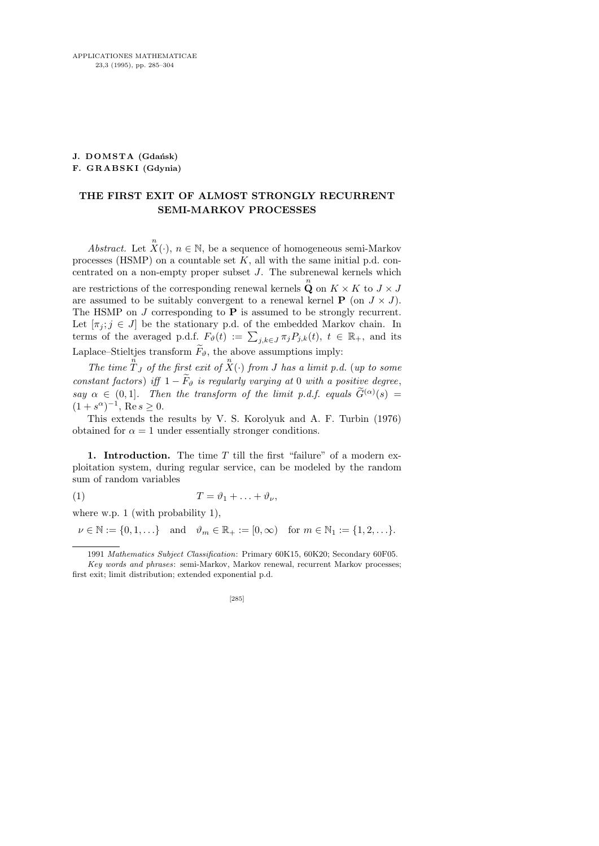## **J. DOMSTA** (Gdańsk) F. GRABSKI (Gdynia)

## THE FIRST EXIT OF ALMOST STRONGLY RECURRENT SEMI-MARKOV PROCESSES

Abstract. Let  $\overline{X}(\cdot)$ ,  $n \in \mathbb{N}$ , be a sequence of homogeneous semi-Markov processes (HSMP) on a countable set  $K$ , all with the same initial p.d. concentrated on a non-empty proper subset  $J$ . The subrenewal kernels which are restrictions of the corresponding renewal kernels  $\mathbf{Q}$  on  $K \times K$  to  $J \times J$ are assumed to be suitably convergent to a renewal kernel  $P$  (on  $J \times J$ ). The HSMP on  $J$  corresponding to  $P$  is assumed to be strongly recurrent. Let  $[\pi_j; j \in J]$  be the stationary p.d. of the embedded Markov chain. In terms of the averaged p.d.f.  $F_{\vartheta}(t) := \sum_{j,k \in J} \pi_j P_{j,k}(t), t \in \mathbb{R}_+$ , and its Laplace–Stieltjes transform  $\widetilde{F}_{\vartheta}$ , the above assumptions imply:

The time  $\int_{-1}^{n} f(x) \, dx$  of the first exit of  $\overline{X}(\cdot)$  from J has a limit p.d. (up to some constant factors) iff  $1 - \widetilde{F}_{\vartheta}$  is regularly varying at 0 with a positive degree, say  $\alpha \in (0,1]$ . Then the transform of the limit p.d.f. equals  $G^{(\alpha)}(s) =$  $(1+s^{\alpha})^{-1}$ , Re  $s \geq 0$ .

This extends the results by V. S. Korolyuk and A. F. Turbin (1976) obtained for  $\alpha = 1$  under essentially stronger conditions.

1. Introduction. The time  $T$  till the first "failure" of a modern exploitation system, during regular service, can be modeled by the random sum of random variables

$$
(1) \tT = \vartheta_1 + \ldots + \vartheta_\nu,
$$

where w.p. 1 (with probability 1),

 $\nu \in \mathbb{N} := \{0, 1, \ldots\}$  and  $\vartheta_m \in \mathbb{R}_+ := [0, \infty)$  for  $m \in \mathbb{N}_1 := \{1, 2, \ldots\}.$ 

<sup>1991</sup> *Mathematics Subject Classification*: Primary 60K15, 60K20; Secondary 60F05.

*Key words and phrases*: semi-Markov, Markov renewal, recurrent Markov processes; first exit; limit distribution; extended exponential p.d.

<sup>[285]</sup>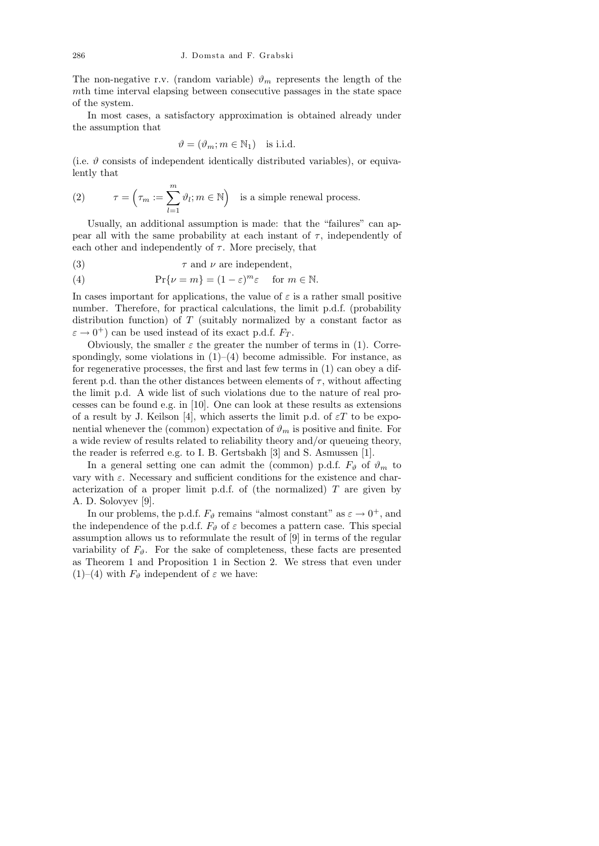The non-negative r.v. (random variable)  $\vartheta_m$  represents the length of the mth time interval elapsing between consecutive passages in the state space of the system.

In most cases, a satisfactory approximation is obtained already under the assumption that

$$
\vartheta = (\vartheta_m; m \in \mathbb{N}_1) \text{ is i.i.d.}
$$

(i.e.  $\vartheta$  consists of independent identically distributed variables), or equivalently that

(2) 
$$
\tau = \left(\tau_m := \sum_{l=1}^m \vartheta_l; m \in \mathbb{N}\right)
$$
 is a simple renewal process.

Usually, an additional assumption is made: that the "failures" can appear all with the same probability at each instant of  $\tau$ , independently of each other and independently of  $\tau$ . More precisely, that

(3) 
$$
\tau
$$
 and  $\nu$  are independent,

(4) 
$$
\Pr\{\nu = m\} = (1 - \varepsilon)^m \varepsilon \quad \text{for } m \in \mathbb{N}.
$$

In cases important for applications, the value of  $\varepsilon$  is a rather small positive number. Therefore, for practical calculations, the limit p.d.f. (probability distribution function) of  $T$  (suitably normalized by a constant factor as  $\varepsilon \to 0^+$ ) can be used instead of its exact p.d.f.  $F_T$ .

Obviously, the smaller  $\varepsilon$  the greater the number of terms in (1). Correspondingly, some violations in  $(1)–(4)$  become admissible. For instance, as for regenerative processes, the first and last few terms in (1) can obey a different p.d. than the other distances between elements of  $\tau$ , without affecting the limit p.d. A wide list of such violations due to the nature of real processes can be found e.g. in [10]. One can look at these results as extensions of a result by J. Keilson [4], which asserts the limit p.d. of  $\epsilon T$  to be exponential whenever the (common) expectation of  $\vartheta_m$  is positive and finite. For a wide review of results related to reliability theory and/or queueing theory, the reader is referred e.g. to I. B. Gertsbakh [3] and S. Asmussen [1].

In a general setting one can admit the (common) p.d.f.  $F_{\vartheta}$  of  $\vartheta_m$  to vary with  $\varepsilon$ . Necessary and sufficient conditions for the existence and characterization of a proper limit p.d.f. of (the normalized)  $T$  are given by A. D. Solovyev [9].

In our problems, the p.d.f.  $F_{\vartheta}$  remains "almost constant" as  $\varepsilon \to 0^+$ , and the independence of the p.d.f.  $F_{\vartheta}$  of  $\varepsilon$  becomes a pattern case. This special assumption allows us to reformulate the result of [9] in terms of the regular variability of  $F_{\vartheta}$ . For the sake of completeness, these facts are presented as Theorem 1 and Proposition 1 in Section 2. We stress that even under (1)–(4) with  $F_{\vartheta}$  independent of  $\varepsilon$  we have: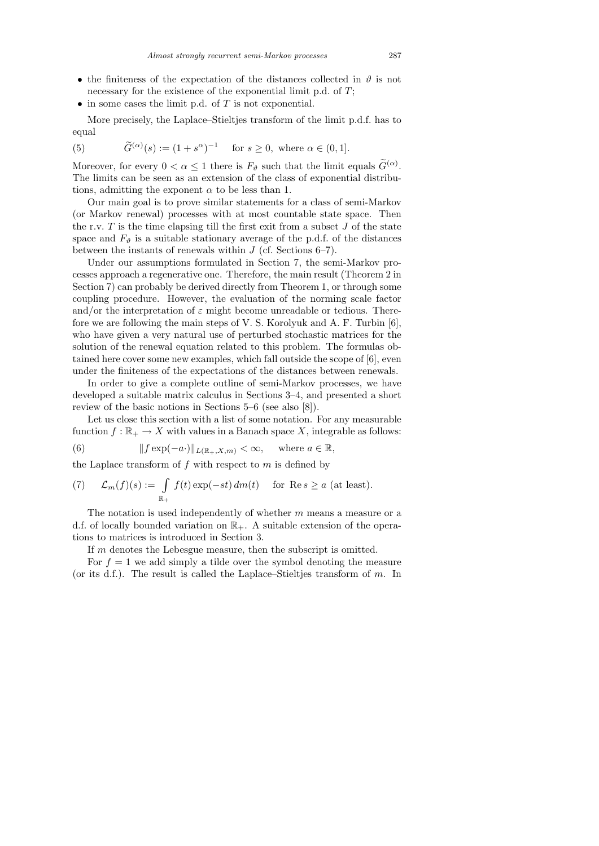- the finiteness of the expectation of the distances collected in  $\vartheta$  is not necessary for the existence of the exponential limit p.d. of  $T$ ;
- $\bullet$  in some cases the limit p.d. of T is not exponential.

More precisely, the Laplace–Stieltjes transform of the limit p.d.f. has to equal

(5) 
$$
\widetilde{G}^{(\alpha)}(s) := (1 + s^{\alpha})^{-1} \text{ for } s \ge 0, \text{ where } \alpha \in (0, 1].
$$

Moreover, for every  $0 < \alpha \leq 1$  there is  $F_{\vartheta}$  such that the limit equals  $\tilde{G}^{(\alpha)}$ . The limits can be seen as an extension of the class of exponential distributions, admitting the exponent  $\alpha$  to be less than 1.

Our main goal is to prove similar statements for a class of semi-Markov (or Markov renewal) processes with at most countable state space. Then the r.v.  $T$  is the time elapsing till the first exit from a subset  $J$  of the state space and  $F_{\vartheta}$  is a suitable stationary average of the p.d.f. of the distances between the instants of renewals within  $J$  (cf. Sections 6–7).

Under our assumptions formulated in Section 7, the semi-Markov processes approach a regenerative one. Therefore, the main result (Theorem 2 in Section 7) can probably be derived directly from Theorem 1, or through some coupling procedure. However, the evaluation of the norming scale factor and/or the interpretation of  $\varepsilon$  might become unreadable or tedious. Therefore we are following the main steps of V. S. Korolyuk and A. F. Turbin [6], who have given a very natural use of perturbed stochastic matrices for the solution of the renewal equation related to this problem. The formulas obtained here cover some new examples, which fall outside the scope of [6], even under the finiteness of the expectations of the distances between renewals.

In order to give a complete outline of semi-Markov processes, we have developed a suitable matrix calculus in Sections 3–4, and presented a short review of the basic notions in Sections 5–6 (see also [8]).

Let us close this section with a list of some notation. For any measurable function  $f : \mathbb{R}_+ \to X$  with values in a Banach space X, integrable as follows:

(6) 
$$
|| f \exp(-a \cdot)||_{L(\mathbb{R}_+, X, m)} < \infty, \text{ where } a \in \mathbb{R},
$$

the Laplace transform of  $f$  with respect to  $m$  is defined by

(7) 
$$
\mathcal{L}_m(f)(s) := \int_{\mathbb{R}_+} f(t) \exp(-st) dm(t) \quad \text{for } \operatorname{Re} s \ge a \text{ (at least)}.
$$

The notation is used independently of whether  $m$  means a measure or a d.f. of locally bounded variation on  $\mathbb{R}_+$ . A suitable extension of the operations to matrices is introduced in Section 3.

If m denotes the Lebesgue measure, then the subscript is omitted.

For  $f = 1$  we add simply a tilde over the symbol denoting the measure (or its d.f.). The result is called the Laplace–Stieltjes transform of  $m$ . In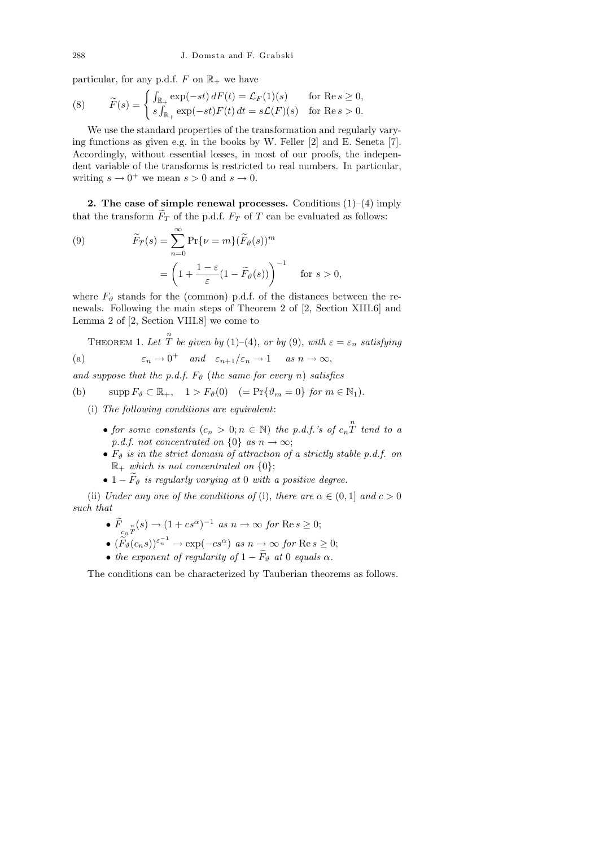particular, for any p.d.f. F on  $\mathbb{R}_+$  we have

(8) 
$$
\widetilde{F}(s) = \begin{cases} \int_{\mathbb{R}_+} \exp(-st) dF(t) = \mathcal{L}_F(1)(s) & \text{for Re } s \ge 0, \\ s \int_{\mathbb{R}_+} \exp(-st) F(t) dt = s\mathcal{L}(F)(s) & \text{for Re } s > 0. \end{cases}
$$

We use the standard properties of the transformation and regularly varying functions as given e.g. in the books by W. Feller [2] and E. Seneta [7]. Accordingly, without essential losses, in most of our proofs, the independent variable of the transforms is restricted to real numbers. In particular, writing  $s \to 0^+$  we mean  $s > 0$  and  $s \to 0$ .

2. The case of simple renewal processes. Conditions  $(1)$ – $(4)$  imply that the transform  $\widetilde{F}_T$  of the p.d.f.  $F_T$  of T can be evaluated as follows:

(9) 
$$
\widetilde{F}_T(s) = \sum_{n=0}^{\infty} \Pr{\nu = m \} (\widetilde{F}_{\vartheta}(s))^m
$$

$$
= \left( 1 + \frac{1 - \varepsilon}{\varepsilon} (1 - \widetilde{F}_{\vartheta}(s)) \right)^{-1} \quad \text{for } s > 0,
$$

where  $F_{\vartheta}$  stands for the (common) p.d.f. of the distances between the renewals. Following the main steps of Theorem 2 of [2, Section XIII.6] and Lemma 2 of [2, Section VIII.8] we come to

THEOREM 1. Let  $\stackrel{n}{T}$  be given by (1)–(4), or by (9), with  $\varepsilon = \varepsilon_n$  satisfying (a)  $\varepsilon_n \to 0^+$  and  $\varepsilon_{n+1}/\varepsilon_n \to 1$  as  $n \to \infty$ ,

and suppose that the p.d.f. 
$$
F_{\vartheta}
$$
 (the same for every n) satisfies

(b)  $\text{supp}\,F_{\vartheta} \subset \mathbb{R}_+$ ,  $1 > F_{\vartheta}(0)$   $(= \Pr{\vartheta_m = 0} \text{ for } m \in \mathbb{N}_1).$ 

(i) The following conditions are equivalent:

- for some constants  $(c_n > 0; n \in \mathbb{N})$  the p.d.f.'s of  $c_n \overset{n}{T}$  tend to a p.d.f. not concentrated on  $\{0\}$  as  $n \to \infty$ ;
- $F_{\vartheta}$  is in the strict domain of attraction of a strictly stable p.d.f. on  $\mathbb{R}_+$  which is not concentrated on  $\{0\};$
- $1 \tilde{F}_{\vartheta}$  is regularly varying at 0 with a positive degree.

(ii) Under any one of the conditions of (i), there are  $\alpha \in (0,1]$  and  $c > 0$ such that

- $\overline{F}_{c_nT}^{\quad n}(s) \rightarrow (1+cs^{\alpha})^{-1}$  as  $n \rightarrow \infty$  for  $\text{Re } s \geq 0;$
- $(\widetilde{F}_{\vartheta}(c_n s))^{\varepsilon_n^{-1}} \to \exp(-cs^{\alpha}) \text{ as } n \to \infty \text{ for } \text{Re } s \ge 0;$
- the exponent of regularity of  $1 \widetilde{F}_{\vartheta}$  at 0 equals  $\alpha$ .

The conditions can be characterized by Tauberian theorems as follows.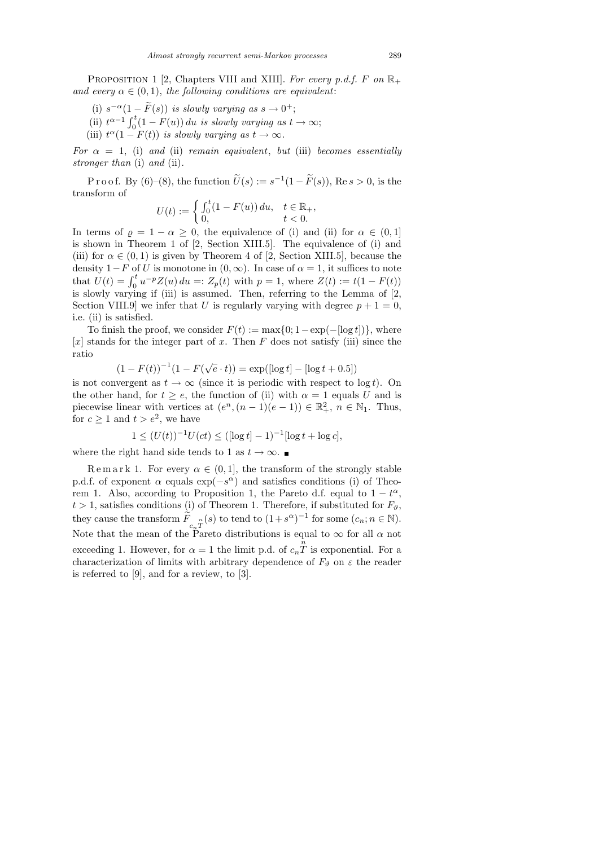PROPOSITION 1 [2, Chapters VIII and XIII]. For every p.d.f. F on  $\mathbb{R}_+$ and every  $\alpha \in (0,1)$ , the following conditions are equivalent:

- (i)  $s^{-\alpha}(1-\widetilde{F}(s))$  is slowly varying as  $s \to 0^+$ ;
- (ii)  $t^{\alpha-1} \int_0^t (1 F(u)) du$  is slowly varying as  $t \to \infty$ ;
- (iii)  $t^{\alpha}(1 F(t))$  is slowly varying as  $t \to \infty$ .

For  $\alpha = 1$ , (i) and (ii) remain equivalent, but (iii) becomes essentially stronger than (i) and (ii).

P r o o f. By (6)–(8), the function  $\widetilde{U}(s) := s^{-1}(1 - \widetilde{F}(s))$ , Re  $s > 0$ , is the transform of

$$
U(t) := \begin{cases} \int_0^t (1 - F(u)) du, & t \in \mathbb{R}_+, \\ 0, & t < 0. \end{cases}
$$

In terms of  $\rho = 1 - \alpha \geq 0$ , the equivalence of (i) and (ii) for  $\alpha \in (0,1]$ is shown in Theorem 1 of [2, Section XIII.5]. The equivalence of (i) and (iii) for  $\alpha \in (0, 1)$  is given by Theorem 4 of [2, Section XIII.5], because the density  $1-F$  of U is monotone in  $(0,\infty)$ . In case of  $\alpha=1$ , it suffices to note that  $U(t) = \int_0^t u^{-p} Z(u) du =: Z_p(t)$  with  $p = 1$ , where  $Z(t) := t(1 - F(t))$ is slowly varying if (iii) is assumed. Then, referring to the Lemma of [2, Section VIII.9] we infer that U is regularly varying with degree  $p + 1 = 0$ , i.e. (ii) is satisfied.

To finish the proof, we consider  $F(t) := \max\{0: 1 - \exp(-[\log t])\}$ , where  $[x]$  stands for the integer part of x. Then F does not satisfy (iii) since the ratio

$$
(1 - F(t))^{-1} (1 - F(\sqrt{e} \cdot t)) = \exp([\log t] - [\log t + 0.5])
$$

is not convergent as  $t \to \infty$  (since it is periodic with respect to log t). On the other hand, for  $t \ge e$ , the function of (ii) with  $\alpha = 1$  equals U and is piecewise linear with vertices at  $(e^n, (n-1)(e-1)) \in \mathbb{R}^2_+$ ,  $n \in \mathbb{N}_1$ . Thus, for  $c \geq 1$  and  $t > e^2$ , we have

$$
1 \le (U(t))^{-1}U(ct) \le ([\log t] - 1)^{-1}[\log t + \log c],
$$

where the right hand side tends to 1 as  $t \to \infty$ .

Remark 1. For every  $\alpha \in (0,1]$ , the transform of the strongly stable p.d.f. of exponent  $\alpha$  equals  $\exp(-s^{\alpha})$  and satisfies conditions (i) of Theorem 1. Also, according to Proposition 1, the Pareto d.f. equal to  $1 - t^{\alpha}$ ,  $t > 1$ , satisfies conditions (i) of Theorem 1. Therefore, if substituted for  $F_{\vartheta}$ , they cause the transform  $\widetilde{F}_{c_nT}^{\quad n}(s)$  to tend to  $(1+s^{\alpha})^{-1}$  for some  $(c_n; n \in \mathbb{N})$ . Note that the mean of the Pareto distributions is equal to  $\infty$  for all  $\alpha$  not exceeding 1. However, for  $\alpha = 1$  the limit p.d. of  $c_n \hat{T}$  is exponential. For a characterization of limits with arbitrary dependence of  $F_{\vartheta}$  on  $\varepsilon$  the reader is referred to [9], and for a review, to [3].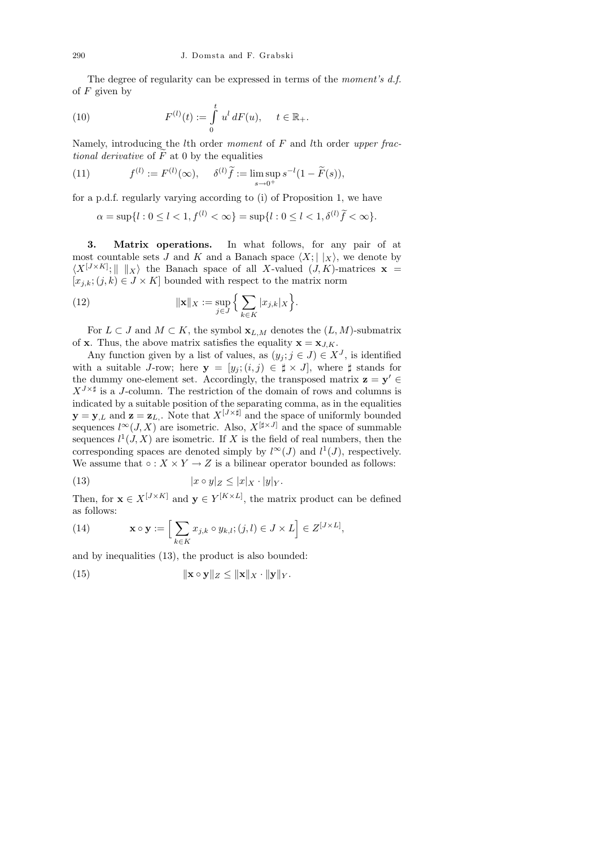The degree of regularity can be expressed in terms of the moment's d.f. of  $F$  given by

(10) 
$$
F^{(l)}(t) := \int_{0}^{t} u^{l} dF(u), \quad t \in \mathbb{R}_{+}.
$$

Namely, introducing the *l*th order moment of  $F$  and *l*th order upper fractional derivative of  $\tilde{F}$  at 0 by the equalities

(11) 
$$
f^{(l)} := F^{(l)}(\infty), \quad \delta^{(l)}\tilde{f} := \limsup_{s \to 0^+} s^{-l}(1 - \tilde{F}(s)),
$$

for a p.d.f. regularly varying according to (i) of Proposition 1, we have

 $\alpha = \sup\{l : 0 \le l < 1, f^{(l)} < \infty\} = \sup\{l : 0 \le l < 1, \delta^{(l)}\tilde{f} < \infty\}.$ 

3. Matrix operations. In what follows, for any pair of at most countable sets J and K and a Banach space  $\langle X; | \chi \rangle$ , we denote by  $\langle X^{[J\times K]}\,;\,\parallel\,\parallel_X\rangle$  the Banach space of all X-valued  $(J, K)$ -matrices  $\mathbf{x}$  =  $[x_{j,k}; (j,k) \in J \times K]$  bounded with respect to the matrix norm

(12) 
$$
\|\mathbf{x}\|_{X} := \sup_{j\in J} \Big\{ \sum_{k\in K} |x_{j,k}|_{X} \Big\}.
$$

For  $L \subset J$  and  $M \subset K$ , the symbol  $\mathbf{x}_{L,M}$  denotes the  $(L,M)$ -submatrix of **x**. Thus, the above matrix satisfies the equality  $\mathbf{x} = \mathbf{x}_{J,K}$ .

Any function given by a list of values, as  $(y_j; j \in J) \in X^J$ , is identified with a suitable J-row; here  $y = [y_j; (i,j) \in \sharp \times J]$ , where  $\sharp$  stands for the dummy one-element set. Accordingly, the transposed matrix  $z = y' \in$  $X^{J\times\sharp}$  is a J-column. The restriction of the domain of rows and columns is indicated by a suitable position of the separating comma, as in the equalities  $\mathbf{y} = \mathbf{y}_{,L}$  and  $\mathbf{z} = \mathbf{z}_{L}$ . Note that  $X^{[J \times \sharp]}$  and the space of uniformly bounded sequences  $l^{\infty}(J, X)$  are isometric. Also,  $X^{[\sharp \times J]}$  and the space of summable sequences  $l^1(J, X)$  are isometric. If X is the field of real numbers, then the corresponding spaces are denoted simply by  $l^{\infty}(J)$  and  $l^{1}(J)$ , respectively. We assume that  $\circ: X \times Y \to Z$  is a bilinear operator bounded as follows:

(13) 
$$
|x \circ y|_Z \le |x|_X \cdot |y|_Y.
$$

Then, for  $\mathbf{x} \in X^{[J \times K]}$  and  $\mathbf{y} \in Y^{[K \times L]}$ , the matrix product can be defined as follows:

(14) 
$$
\mathbf{x} \circ \mathbf{y} := \Big[ \sum_{k \in K} x_{j,k} \circ y_{k,l}; (j,l) \in J \times L \Big] \in Z^{[J \times L]},
$$

and by inequalities (13), the product is also bounded:

(15) 
$$
\|\mathbf{x} \circ \mathbf{y}\|_{Z} \leq \|\mathbf{x}\|_{X} \cdot \|\mathbf{y}\|_{Y}.
$$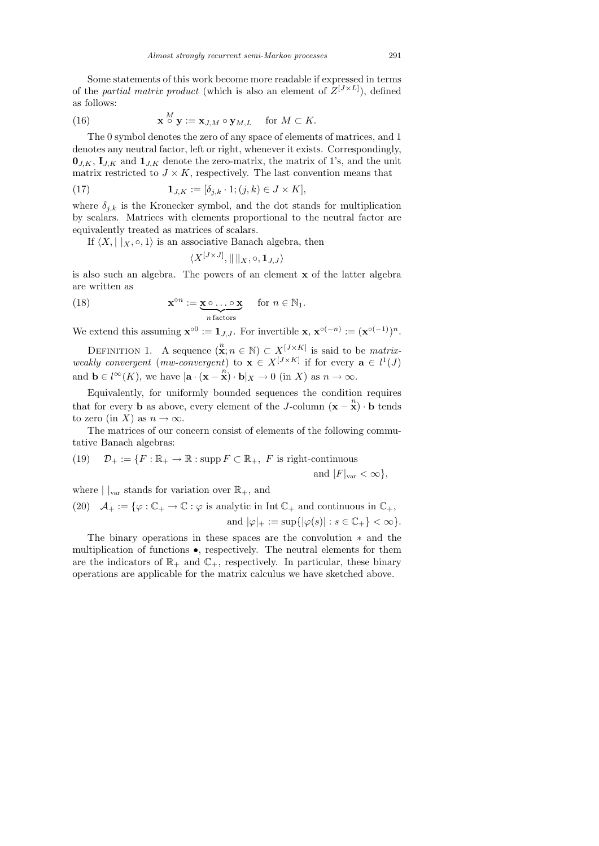Some statements of this work become more readable if expressed in terms of the *partial matrix product* (which is also an element of  $Z^{[J \times L]}$ ), defined as follows:

(16) 
$$
\mathbf{x} \stackrel{M}{\circ} \mathbf{y} := \mathbf{x}_{J,M} \circ \mathbf{y}_{M,L} \quad \text{for } M \subset K.
$$

The 0 symbol denotes the zero of any space of elements of matrices, and 1 denotes any neutral factor, left or right, whenever it exists. Correspondingly,  $\mathbf{0}_{J,K}, \mathbf{I}_{J,K}$  and  $\mathbf{1}_{J,K}$  denote the zero-matrix, the matrix of 1's, and the unit matrix restricted to  $J \times K$ , respectively. The last convention means that

(17) 
$$
\mathbf{1}_{J,K} := [\delta_{j,k} \cdot 1; (j,k) \in J \times K],
$$

where  $\delta_{j,k}$  is the Kronecker symbol, and the dot stands for multiplication by scalars. Matrices with elements proportional to the neutral factor are equivalently treated as matrices of scalars.

If  $\langle X, |x, \circ, 1 \rangle$  is an associative Banach algebra, then

$$
\langle X^{[J\times J]},\|\,\|_{X},\circ,\mathbf{1}_{J,J}\rangle
$$

is also such an algebra. The powers of an element x of the latter algebra are written as

(18) 
$$
\mathbf{x}^{\circ n} := \underbrace{\mathbf{x} \circ \dots \circ \mathbf{x}}_{n \text{ factors}} \quad \text{for } n \in \mathbb{N}_1.
$$

We extend this assuming  $\mathbf{x}^{\circ 0} := \mathbf{1}_{J,J}$ . For invertible  $\mathbf{x}, \mathbf{x}^{\circ (-n)} := (\mathbf{x}^{\circ (-1)})^n$ .

DEFINITION 1. A sequence  $(\mathbf{x}; n \in \mathbb{N}) \subset X^{[J \times K]}$  is said to be *matrix*weakly convergent (mw-convergent) to  $\mathbf{x} \in X^{[J \times K]}$  if for every  $\mathbf{a} \in l^1(J)$ and  $\mathbf{b} \in l^{\infty}(K)$ , we have  $|\mathbf{a} \cdot (\mathbf{x} - \mathbf{x}) \cdot \mathbf{b}|_X \to 0$  (in X) as  $n \to \infty$ .

Equivalently, for uniformly bounded sequences the condition requires that for every b as above, every element of the J-column  $(\mathbf{x} - \mathbf{x}) \cdot \mathbf{b}$  tends to zero (in X) as  $n \to \infty$ .

The matrices of our concern consist of elements of the following commutative Banach algebras:

(19) 
$$
\mathcal{D}_+ := \{ F : \mathbb{R}_+ \to \mathbb{R} : \text{supp } F \subset \mathbb{R}_+, F \text{ is right-continuous} \}
$$

and  $|F|_{var} < \infty$ ,

where  $||_{var}$  stands for variation over  $\mathbb{R}_+$ , and

(20) 
$$
\mathcal{A}_+ := \{ \varphi : \mathbb{C}_+ \to \mathbb{C} : \varphi \text{ is analytic in Int } \mathbb{C}_+ \text{ and continuous in } \mathbb{C}_+, \text{ and } |\varphi|_+ := \sup \{ |\varphi(s)| : s \in \mathbb{C}_+ \} < \infty \}.
$$

The binary operations in these spaces are the convolution ∗ and the multiplication of functions •, respectively. The neutral elements for them are the indicators of  $\mathbb{R}_+$  and  $\mathbb{C}_+$ , respectively. In particular, these binary operations are applicable for the matrix calculus we have sketched above.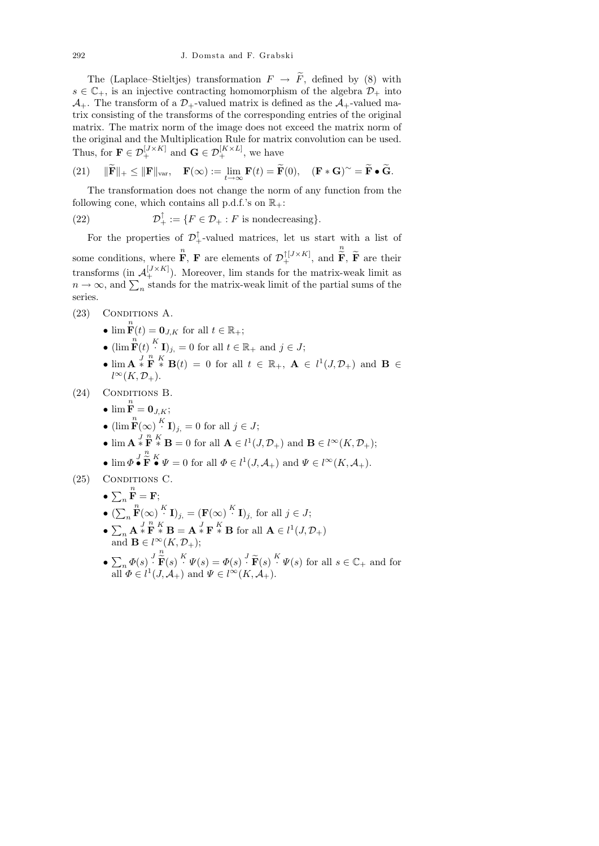The (Laplace–Stieltjes) transformation  $F \to \widetilde{F}$ , defined by (8) with  $s \in \mathbb{C}_+$ , is an injective contracting homomorphism of the algebra  $\mathcal{D}_+$  into  $\mathcal{A}_{+}$ . The transform of a  $\mathcal{D}_{+}$ -valued matrix is defined as the  $\mathcal{A}_{+}$ -valued matrix consisting of the transforms of the corresponding entries of the original matrix. The matrix norm of the image does not exceed the matrix norm of the original and the Multiplication Rule for matrix convolution can be used. Thus, for  $\mathbf{F} \in \mathcal{D}_{+}^{[J \times K]}$  and  $\mathbf{G} \in \mathcal{D}_{+}^{[K \times L]}$ , we have

(21) 
$$
\|\widetilde{\mathbf{F}}\|_{+} \leq \|\mathbf{F}\|_{var}, \quad \mathbf{F}(\infty) := \lim_{t \to \infty} \mathbf{F}(t) = \widetilde{\mathbf{F}}(0), \quad (\mathbf{F} * \mathbf{G})^{\sim} = \widetilde{\mathbf{F}} \bullet \widetilde{\mathbf{G}}.
$$

The transformation does not change the norm of any function from the following cone, which contains all p.d.f.'s on  $\mathbb{R}_+$ :

(22) 
$$
\mathcal{D}_+^{\uparrow} := \{ F \in \mathcal{D}_+ : F \text{ is nondecreasing} \}.
$$

For the properties of  $\mathcal{D}_+^{\uparrow}$ -valued matrices, let us start with a list of some conditions, where  $\mathbf{F}$ , **F** are elements of  $\mathcal{D}_+^{\uparrow [J \times K]}$ , and n  $\mathbf{F}, \mathbf{F}$  are their transforms (in  $\mathcal{A}_{+}^{[J\times K]}$ ). Moreover, lim stands for the matrix-weak limit as  $n \to \infty$ , and  $\sum_n$  stands for the matrix-weak limit of the partial sums of the series.

- (23) Conditions A.
	- $\lim_{t \to \infty} \mathbf{F}(t) = \mathbf{0}_{J,K}$  for all  $t \in \mathbb{R}_+$ ;
	- $(\lim_{n \to \infty} \mathbf{F}(t) \cdot K \mathbf{I})_{j} = 0$  for all  $t \in \mathbb{R}_+$  and  $j \in J$ ;
	- $\lim_{h \to \infty} \mathbf{A} \times \mathbf{F} \times \mathbf{B}(t) = 0$  for all  $t \in \mathbb{R}_+$ ,  $\mathbf{A} \in l^1(J, \mathcal{D}_+)$  and  $\mathbf{B} \in$  $l^{\infty}(K, \mathcal{D}_+).$
- (24) CONDITIONS B.
	- $\lim_{n} \frac{n}{\mathbf{F}} = \mathbf{0}_{J,K};$
	- $(\lim_{i} \mathbf{F}(\infty))^{K}$ **I** $)_{j}$ , = 0 for all  $j \in J$ ;
	- $\lim_{n \to \infty} \mathbf{A} \times \mathbf{F}^n \times \mathbf{B} = 0$  for all  $\mathbf{A} \in l^1(J, \mathcal{D}_+)$  and  $\mathbf{B} \in l^{\infty}(K, \mathcal{D}_+)$ ; n
	- $\bullet\,\lim\Phi\,{\stackrel{J}{\bullet}}$  $\widetilde{\mathbf{F}}^K \bullet \Psi = 0$  for all  $\Phi \in l^1(J, \mathcal{A}_+)$  and  $\Psi \in l^{\infty}(K, \mathcal{A}_+).$

 $(25)$  CONDITIONS C.

- $\sum_{n} \mathbf{F} = \mathbf{F};$ n
- $(\sum_{n} \mathbf{F}(\infty) \overset{K}{\cdot} \mathbf{I})_{j} = (\mathbf{F}(\infty) \overset{K}{\cdot} \mathbf{I})_{j}$  for all  $j \in J$ ; n
- $\sum_{n}$  **A**  $*$  **F**  $*$  **B** = **A**  $*$  **F**  $*$  **B** for all **A**  $\in l^{1}(J, \mathcal{D}_{+})$ and  $\mathbf{B} \in l^{\infty}(K, \mathcal{D}_+);$ n
- $\bullet$   $\sum_n \varPhi(s) \bigg|^J$  $\widetilde{\mathbf{F}}(s) \stackrel{K}{\cdot} \Psi(s) = \Phi(s) \stackrel{J}{\cdot} \widetilde{\mathbf{F}}(s) \stackrel{K}{\cdot} \Psi(s)$  for all  $s \in \mathbb{C}_+$  and for all  $\Phi \in l^1(J, \mathcal{A}_+)$  and  $\Psi \in l^{\infty}(K, \mathcal{A}_+).$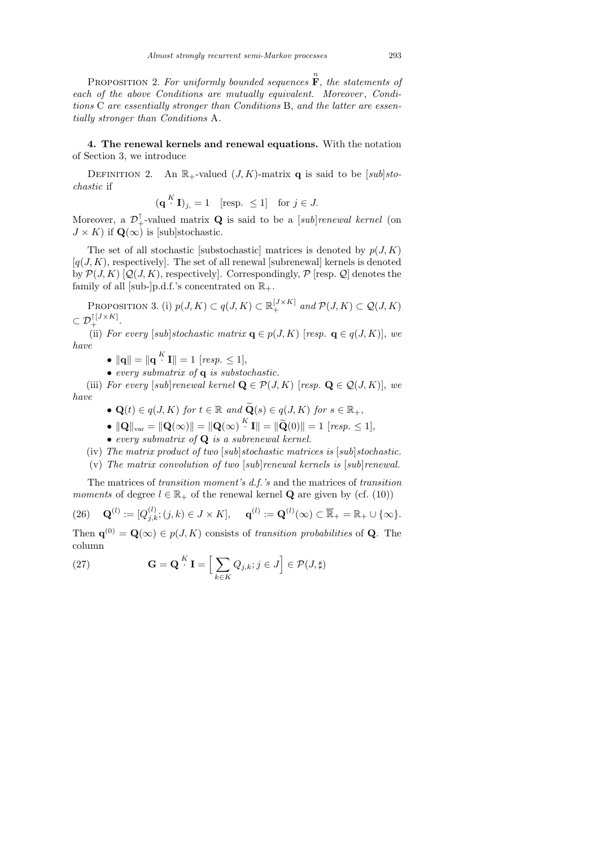PROPOSITION 2. For uniformly bounded sequences  $\mathbf{\overline{F}}$ , the statements of each of the above Conditions are mutually equivalent. Moreover, Conditions C are essentially stronger than Conditions B, and the latter are essentially stronger than Conditions A.

4. The renewal kernels and renewal equations. With the notation of Section 3, we introduce

DEFINITION 2. An  $\mathbb{R}_+$ -valued  $(J, K)$ -matrix q is said to be [sub]stochastic if

$$
(\mathbf{q}^{K} \mathbf{I})_{j} = 1 \quad [\text{resp.} \le 1] \quad \text{for } j \in J.
$$

Moreover, a  $\mathcal{D}_+^{\uparrow}$ -valued matrix **Q** is said to be a [*sub*]*renewal kernel* (on  $J \times K$ ) if  $\mathbf{Q}(\infty)$  is [sub]stochastic.

The set of all stochastic [substochastic] matrices is denoted by  $p(J, K)$  $[q(J, K)]$ , respectively. The set of all renewal [subrenewal] kernels is denoted by  $\mathcal{P}(J,K)$  [Q(J,K), respectively]. Correspondingly,  $\mathcal{P}$  [resp. Q] denotes the family of all [sub-]p.d.f.'s concentrated on  $\mathbb{R}_+$ .

PROPOSITION 3. (i)  $p(J, K) \subset q(J, K) \subset \mathbb{R}_+^{[J \times K]}$  and  $\mathcal{P}(J, K) \subset \mathcal{Q}(J, K)$  $\subset \mathcal{D}_+^{\uparrow [J \times K]}.$ 

(ii) For every [sub]stochastic matrix  $\mathbf{q} \in p(J, K)$  [resp.  $\mathbf{q} \in q(J, K)$ ], we have

- $\|\mathbf{q}\| = \|\mathbf{q}^K \mathbf{I}\| = 1$  [resp.  $\leq 1$ ],
- every submatrix of  $q$  is substochastic.

(iii) For every [sub]renewal kernel  $\mathbf{Q} \in \mathcal{P}(J, K)$  [resp.  $\mathbf{Q} \in \mathcal{Q}(J, K)$ ], we have

- $\mathbf{Q}(t) \in q(J, K)$  for  $t \in \mathbb{R}$  and  $\widetilde{\mathbf{Q}}(s) \in q(J, K)$  for  $s \in \mathbb{R}_+$ ,
- $||\mathbf{Q}||_{\text{var}} = ||\mathbf{Q}(\infty)|| = ||\mathbf{Q}(\infty)|^K \mathbf{I}|| = ||\widetilde{\mathbf{Q}}(0)|| = 1$  [resp.  $\leq 1$ ],
- every submatrix of Q is a subrenewal kernel.
- (iv) The matrix product of two [sub]stochastic matrices is [sub]stochastic.
- (v) The matrix convolution of two  $|sub|$  renewal kernels is  $|sub|$  renewal.

The matrices of transition moment's d.f.'s and the matrices of transition moments of degree  $l \in \mathbb{R}_+$  of the renewal kernel **Q** are given by (cf. (10))

$$
(26) \quad \mathbf{Q}^{(l)} := [Q_{j,k}^{(l)}; (j,k) \in J \times K], \quad \mathbf{q}^{(l)} := \mathbf{Q}^{(l)}(\infty) \subset \overline{\mathbb{R}}_+ = \mathbb{R}_+ \cup \{\infty\}.
$$

Then  $\mathbf{q}^{(0)} = \mathbf{Q}(\infty) \in p(J, K)$  consists of transition probabilities of Q. The column

(27) 
$$
\mathbf{G} = \mathbf{Q}^{K} \mathbf{I} = \Big[ \sum_{k \in K} Q_{j,k}; j \in J \Big] \in \mathcal{P}(J, \sharp)
$$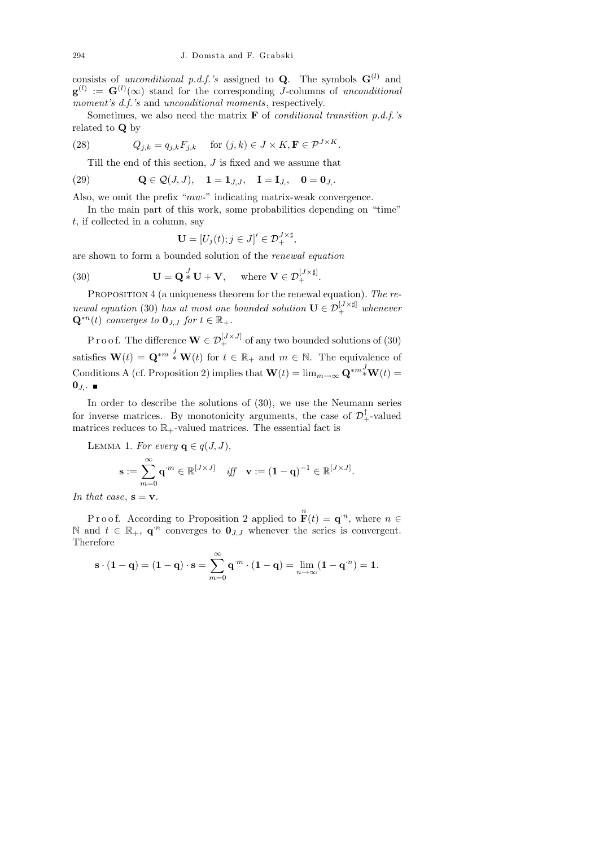consists of unconditional p.d.f.'s assigned to **Q**. The symbols  $\mathbf{G}^{(l)}$  and  $\mathbf{g}^{(l)} := \mathbf{G}^{(l)}(\infty)$  stand for the corresponding J-columns of unconditional moment's d.f.'s and unconditional moments, respectively.

Sometimes, we also need the matrix  $\bf{F}$  of *conditional transition p.d.f.'s* related to Q by

(28) 
$$
Q_{j,k} = q_{j,k} F_{j,k} \quad \text{for } (j,k) \in J \times K, \mathbf{F} \in \mathcal{P}^{J \times K}.
$$

Till the end of this section,  $J$  is fixed and we assume that

(29) 
$$
\mathbf{Q} \in \mathcal{Q}(J, J), \quad \mathbf{1} = \mathbf{1}_{J, J}, \quad \mathbf{I} = \mathbf{I}_{J,}, \quad \mathbf{0} = \mathbf{0}_{J,}.
$$

Also, we omit the prefix "mw-" indicating matrix-weak convergence.

In the main part of this work, some probabilities depending on "time"  $t$ , if collected in a column, say

$$
\mathbf{U} = [U_j(t); j \in J]' \in \mathcal{D}_+^{J \times \sharp},
$$

are shown to form a bounded solution of the renewal equation

(30) 
$$
\mathbf{U} = \mathbf{Q} \cdot \mathbf{U} + \mathbf{V}, \text{ where } \mathbf{V} \in \mathcal{D}_{+}^{[J \times \sharp]}.
$$

PROPOSITION 4 (a uniqueness theorem for the renewal equation). The renewal equation (30) has at most one bounded solution  $\mathbf{U} \in \mathcal{D}_{+}^{[J \times \sharp]}$  whenever  $\mathbf{Q}^{*n}(t)$  converges to  $\mathbf{0}_{J,J}$  for  $t \in \mathbb{R}_+$ .

P r o o f. The difference  $\mathbf{W} \in \mathcal{D}_{+}^{[J \times J]}$  of any two bounded solutions of (30) satisfies  $\mathbf{W}(t) = \mathbf{Q}^{*m} * \mathbf{W}(t)$  for  $t \in \mathbb{R}_+$  and  $m \in \mathbb{N}$ . The equivalence of Conditions A (cf. Proposition 2) implies that  $\mathbf{W}(t) = \lim_{m \to \infty} \mathbf{Q}^{*m} \cdot^J \mathbf{W}(t) =$  $\mathbf{0}_J$ .

In order to describe the solutions of (30), we use the Neumann series for inverse matrices. By monotonicity arguments, the case of  $\mathcal{D}_+^{\uparrow}$ -valued matrices reduces to  $\mathbb{R}_+$ -valued matrices. The essential fact is

LEMMA 1. For every  $\mathbf{q} \in q(J, J)$ ,

$$
\mathbf{s} := \sum_{m=0}^{\infty} \mathbf{q}^{m} \in \mathbb{R}^{[J \times J]} \quad \text{iff} \quad \mathbf{v} := (\mathbf{1} - \mathbf{q})^{-1} \in \mathbb{R}^{[J \times J]}.
$$

In that case,  $s = v$ .

Proof. According to Proposition 2 applied to  $\mathbf{F}(t) = \mathbf{q}^n$ , where  $n \in \mathbb{R}$ N and  $t \in \mathbb{R}_+$ , **q**<sup>*n*</sup> converges to **0**<sub>*J*</sub>*J* whenever the series is convergent. Therefore

$$
\mathbf{s} \cdot (\mathbf{1} - \mathbf{q}) = (\mathbf{1} - \mathbf{q}) \cdot \mathbf{s} = \sum_{m=0}^{\infty} \mathbf{q}^{m} \cdot (\mathbf{1} - \mathbf{q}) = \lim_{n \to \infty} (\mathbf{1} - \mathbf{q}^{n}) = \mathbf{1}.
$$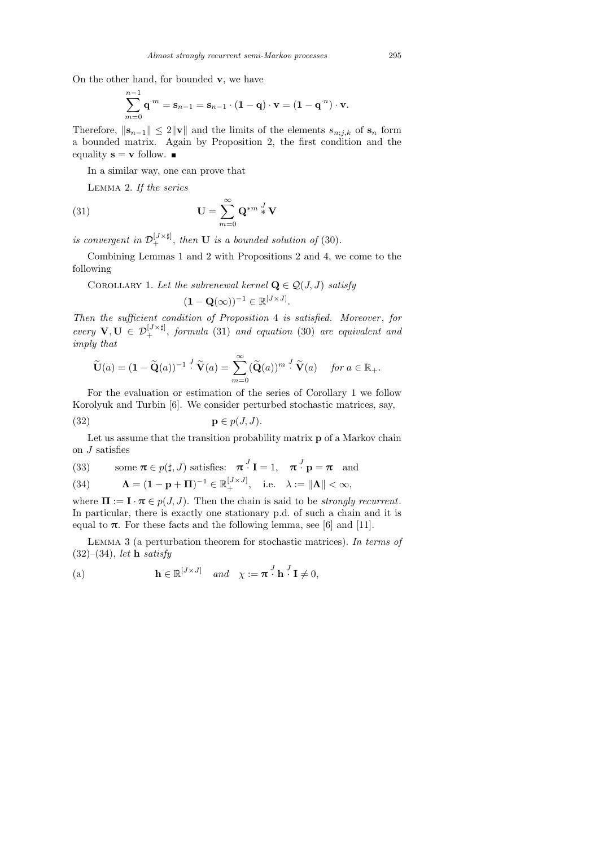On the other hand, for bounded  $v$ , we have

$$
\sum_{m=0}^{n-1} \mathbf{q}^{\cdot m} = \mathbf{s}_{n-1} = \mathbf{s}_{n-1} \cdot (\mathbf{1} - \mathbf{q}) \cdot \mathbf{v} = (\mathbf{1} - \mathbf{q}^{\cdot n}) \cdot \mathbf{v}.
$$

Therefore,  $||\mathbf{s}_{n-1}|| \leq 2||\mathbf{v}||$  and the limits of the elements  $s_{n;j,k}$  of  $\mathbf{s}_n$  form a bounded matrix. Again by Proposition 2, the first condition and the equality  $\mathbf{s} = \mathbf{v}$  follow.

In a similar way, one can prove that

Lemma 2. If the series

(31) 
$$
\mathbf{U} = \sum_{m=0}^{\infty} \mathbf{Q}^{*m} \frac{J}{*} \mathbf{V}
$$

is convergent in  $\mathcal{D}_+^{[J\times\sharp]}$ , then **U** is a bounded solution of (30).

Combining Lemmas 1 and 2 with Propositions 2 and 4, we come to the following

COROLLARY 1. Let the subrenewal kernel  $\mathbf{Q} \in \mathcal{Q}(J, J)$  satisfy

$$
(\mathbf{1} - \mathbf{Q}(\infty))^{-1} \in \mathbb{R}^{[J \times J]}.
$$

Then the sufficient condition of Proposition 4 is satisfied. Moreover, for every  $\mathbf{V}, \mathbf{U} \in \mathcal{D}_{+}^{[J \times \sharp]}$ , formula (31) and equation (30) are equivalent and imply that

$$
\widetilde{\mathbf{U}}(a) = (\mathbf{1} - \widetilde{\mathbf{Q}}(a))^{-1} \cdot \widetilde{\mathbf{V}}(a) = \sum_{m=0}^{\infty} (\widetilde{\mathbf{Q}}(a))^{m} \cdot \widetilde{\mathbf{V}}(a) \quad \text{for } a \in \mathbb{R}_{+}.
$$

For the evaluation or estimation of the series of Corollary 1 we follow Korolyuk and Turbin [6]. We consider perturbed stochastic matrices, say,

$$
\mathbf{p} \in p(J, J).
$$

Let us assume that the transition probability matrix **p** of a Markov chain on  $J$  satisfies

(33) some 
$$
\pi \in p(\sharp, J)
$$
 satisfies:  $\pi^J \mathbf{I} = 1$ ,  $\pi^J \mathbf{p} = \pi$  and

(34) 
$$
\mathbf{\Lambda} = (\mathbf{1} - \mathbf{p} + \mathbf{\Pi})^{-1} \in \mathbb{R}_{+}^{[J \times J]}, \text{ i.e. } \lambda := \|\mathbf{\Lambda}\| < \infty,
$$

where  $\Pi := \mathbf{I} \cdot \boldsymbol{\pi} \in p(J, J)$ . Then the chain is said to be *strongly recurrent*. In particular, there is exactly one stationary p.d. of such a chain and it is equal to  $\pi$ . For these facts and the following lemma, see [6] and [11].

Lemma 3 (a perturbation theorem for stochastic matrices). In terms of  $(32)$ – $(34)$ , let **h** satisfy

(a) 
$$
\mathbf{h} \in \mathbb{R}^{[J \times J]} \quad and \quad \chi := \boldsymbol{\pi}^J \mathbf{h}^J \mathbf{I} \neq 0,
$$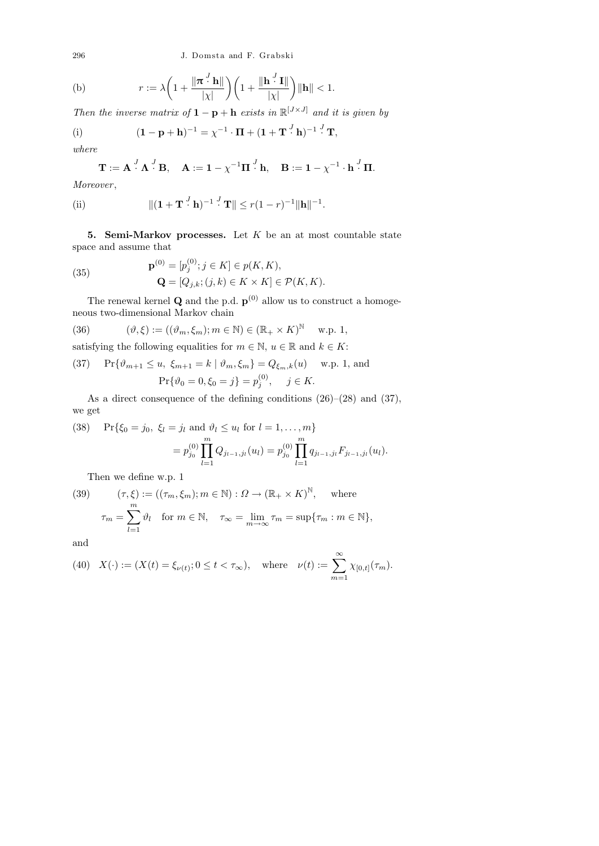296 J. Domsta and F. Grabski

(b) 
$$
r := \lambda \left( 1 + \frac{\|\boldsymbol{\pi}^{\cdot l}\mathbf{h}\|}{|\chi|} \right) \left( 1 + \frac{\|\mathbf{h}^{\cdot l}\mathbf{I}\|}{|\chi|} \right) \|\mathbf{h}\| < 1.
$$

Then the inverse matrix of  $1 - p + h$  exists in  $\mathbb{R}^{[J \times J]}$  and it is given by

(i) 
$$
(\mathbf{1}-\mathbf{p}+\mathbf{h})^{-1}=\chi^{-1}\cdot\Pi+(\mathbf{1}+\mathbf{T}^{J}\mathbf{h})^{-1}^{J}\mathbf{T},
$$

where

$$
\mathbf{T} := \mathbf{A} \cdot \mathbf{A} \cdot \mathbf{B}, \quad \mathbf{A} := \mathbf{1} - \chi^{-1} \mathbf{\Pi} \cdot \mathbf{b}, \quad \mathbf{B} := \mathbf{1} - \chi^{-1} \cdot \mathbf{h} \cdot \mathbf{B}.
$$

Moreover ,

(ii) 
$$
\|({\bf 1} + {\bf T}^{J} {\bf h})^{-1}^{J} {\bf T} \| \le r(1-r)^{-1} \|{\bf h}\|^{-1}.
$$

5. Semi-Markov processes. Let  $K$  be an at most countable state space and assume that

(35) 
$$
\mathbf{p}^{(0)} = [p_j^{(0)}; j \in K] \in p(K, K), \mathbf{Q} = [Q_{j,k}; (j,k) \in K \times K] \in \mathcal{P}(K, K).
$$

The renewal kernel **Q** and the p.d.  $p^{(0)}$  allow us to construct a homogeneous two-dimensional Markov chain

(36) 
$$
(\vartheta,\xi) := ((\vartheta_m,\xi_m); m \in \mathbb{N}) \in (\mathbb{R}_+ \times K)^{\mathbb{N}} \text{ w.p. 1,}
$$

satisfying the following equalities for  $m \in \mathbb{N}$ ,  $u \in \mathbb{R}$  and  $k \in K$ :

(37) 
$$
\Pr{\vartheta_{m+1} \le u, \xi_{m+1} = k | \vartheta_m, \xi_m} = Q_{\xi_m, k}(u) \text{ w.p. 1, and}
$$
  
 $\Pr{\vartheta_0 = 0, \xi_0 = j} = p_j^{(0)}, \quad j \in K.$ 

As a direct consequence of the defining conditions (26)–(28) and (37), we get

(38) 
$$
\Pr\{\xi_0 = j_0, \ \xi_l = j_l \text{ and } \vartheta_l \le u_l \text{ for } l = 1, ..., m\}
$$

$$
= p_{j_0}^{(0)} \prod_{l=1}^m Q_{j_{l-1},j_l}(u_l) = p_{j_0}^{(0)} \prod_{l=1}^m q_{j_{l-1},j_l} F_{j_{l-1},j_l}(u_l).
$$

Then we define w.p. 1

(39) 
$$
(\tau, \xi) := ((\tau_m, \xi_m); m \in \mathbb{N}) : \Omega \to (\mathbb{R}_+ \times K)^{\mathbb{N}}, \text{ where}
$$

$$
\tau_m = \sum_{l=1}^m \vartheta_l \text{ for } m \in \mathbb{N}, \quad \tau_\infty = \lim_{m \to \infty} \tau_m = \sup \{ \tau_m : m \in \mathbb{N} \},
$$

and

(40) 
$$
X(\cdot) := (X(t) = \xi_{\nu(t)}; 0 \le t < \tau_{\infty}),
$$
 where  $\nu(t) := \sum_{m=1}^{\infty} \chi_{[0,t]}(\tau_m).$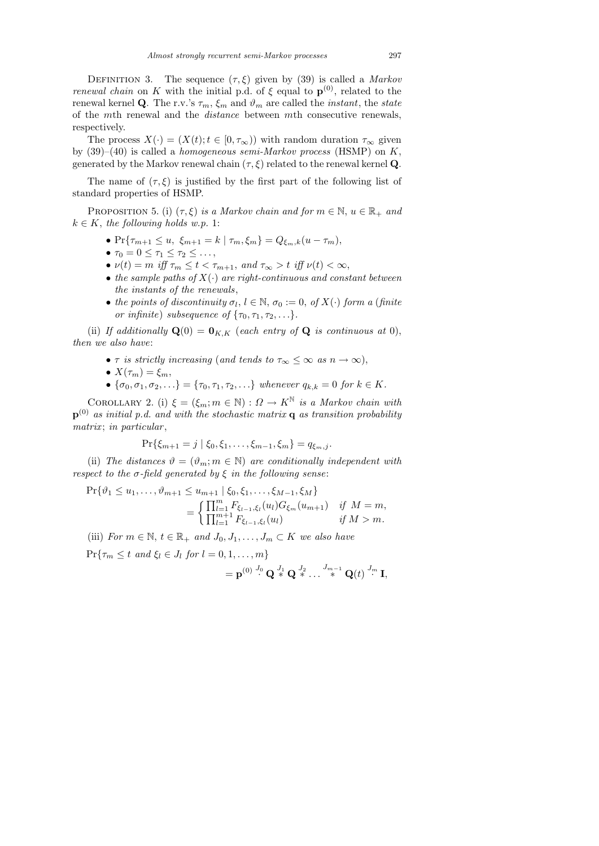DEFINITION 3. The sequence  $(\tau, \xi)$  given by (39) is called a *Markov renewal chain* on K with the initial p.d. of  $\xi$  equal to  $\mathbf{p}^{(0)}$ , related to the renewal kernel Q. The r.v.'s  $\tau_m$ ,  $\xi_m$  and  $\vartheta_m$  are called the *instant*, the *state* of the mth renewal and the distance between mth consecutive renewals, respectively.

The process  $X(\cdot) = (X(t); t \in [0, \tau_{\infty}))$  with random duration  $\tau_{\infty}$  given by  $(39)-(40)$  is called a *homogeneous semi-Markov process* (HSMP) on K, generated by the Markov renewal chain  $(\tau, \xi)$  related to the renewal kernel Q.

The name of  $(\tau, \xi)$  is justified by the first part of the following list of standard properties of HSMP.

PROPOSITION 5. (i)  $(\tau, \xi)$  is a Markov chain and for  $m \in \mathbb{N}$ ,  $u \in \mathbb{R}_+$  and  $k \in K$ , the following holds w.p. 1:

- $Pr{\tau_{m+1} \leq u, \xi_{m+1} = k | \tau_m, \xi_m} = Q_{\xi_m, k}(u \tau_m),$
- $\tau_0 = 0 \leq \tau_1 \leq \tau_2 \leq \ldots,$
- $\nu(t) = m$  iff  $\tau_m \leq t < \tau_{m+1}$ , and  $\tau_\infty > t$  iff  $\nu(t) < \infty$ ,
- the sample paths of  $X(\cdot)$  are right-continuous and constant between the instants of the renewals,
- the points of discontinuity  $\sigma_l, l \in \mathbb{N}, \sigma_0 := 0$ , of  $X(\cdot)$  form a (finite or infinite) subsequence of  $\{\tau_0, \tau_1, \tau_2, \ldots\}.$

(ii) If additionally  $\mathbf{Q}(0) = \mathbf{0}_{K,K}$  (each entry of  $\mathbf{Q}$  is continuous at 0), then we also have:

- $\tau$  is strictly increasing (and tends to  $\tau_{\infty} \leq \infty$  as  $n \to \infty$ ),
- $X(\tau_m) = \xi_m$ ,
- $\{\sigma_0, \sigma_1, \sigma_2, ...\} = \{\tau_0, \tau_1, \tau_2, ...\}$  whenever  $q_{k,k} = 0$  for  $k \in K$ .

COROLLARY 2. (i)  $\xi = (\xi_m; m \in \mathbb{N}) : \Omega \to K^{\mathbb{N}}$  is a Markov chain with  ${\bf p}^{(0)}$  as initial p.d. and with the stochastic matrix  ${\bf q}$  as transition probability matrix; in particular,

$$
\Pr\{\xi_{m+1}=j \mid \xi_0, \xi_1, \ldots, \xi_{m-1}, \xi_m\}=q_{\xi_m,j}.
$$

(ii) The distances  $\vartheta = (\vartheta_m; m \in \mathbb{N})$  are conditionally independent with respect to the  $\sigma$ -field generated by  $\xi$  in the following sense:

$$
\Pr\{\vartheta_1 \le u_1, \dots, \vartheta_{m+1} \le u_{m+1} \mid \xi_0, \xi_1, \dots, \xi_{M-1}, \xi_M\}
$$
\n
$$
= \begin{cases}\n\prod_{l=1}^m F_{\xi_{l-1}, \xi_l}(u_l) G_{\xi_m}(u_{m+1}) & \text{if } M = m, \\
\prod_{l=1}^{m+1} F_{\xi_{l-1}, \xi_l}(u_l) & \text{if } M > m.\n\end{cases}
$$

(iii) For  $m \in \mathbb{N}$ ,  $t \in \mathbb{R}_+$  and  $J_0, J_1, \ldots, J_m \subset K$  we also have

 $\Pr{\tau_m \leq t \text{ and } \xi_l \in J_l \text{ for } l = 0, 1, \ldots, m\}}$ 

$$
=\mathbf{p}^{(0)}\stackrel{J_0}{\cdot}\mathbf{Q}\stackrel{J_1}{\ast}\mathbf{Q}\stackrel{J_2}{\ast}\dots\stackrel{J_{m-1}}{\ast}\mathbf{Q}(t)\stackrel{J_m}{\cdot}\mathbf{I},
$$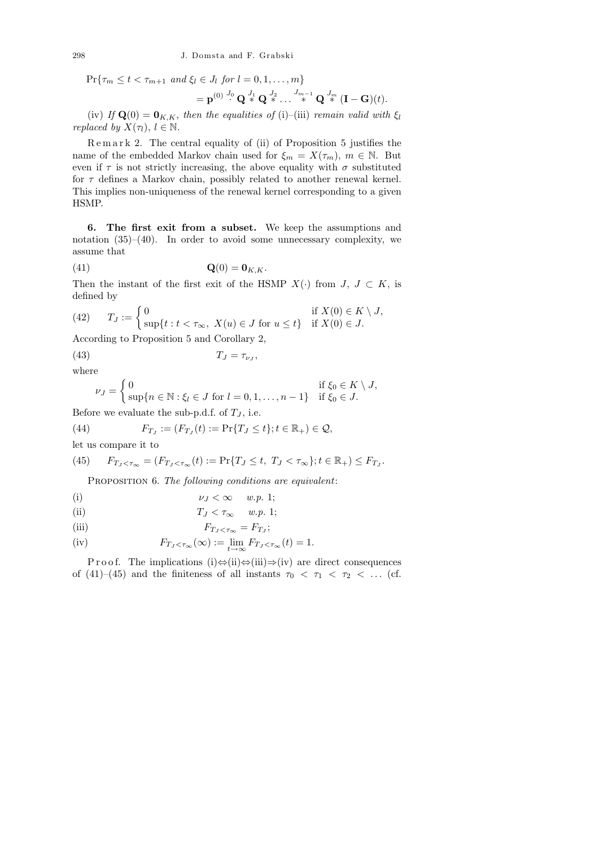298 J. Domsta and F. Grabski

 $\Pr{\tau_m \leq t < \tau_{m+1} \text{ and } \xi_l \in J_l \text{ for } l = 0, 1, \ldots, m\}}$ 

$$
=\mathbf{p}^{(0)} \stackrel{J_0}{\cdot} \mathbf{Q} \stackrel{J_1}{\ast} \mathbf{Q} \stackrel{J_2}{\ast} \dots \stackrel{J_{m-1}}{\ast} \mathbf{Q} \stackrel{J_m}{\ast} (\mathbf{I}-\mathbf{G})(t).
$$

(iv) If  $\mathbf{Q}(0) = \mathbf{0}_{K,K}$ , then the equalities of (i)–(iii) remain valid with  $\xi_l$ replaced by  $X(\tau_l)$ ,  $l \in \mathbb{N}$ .

R e m a r k 2. The central equality of (ii) of Proposition 5 justifies the name of the embedded Markov chain used for  $\xi_m = X(\tau_m)$ ,  $m \in \mathbb{N}$ . But even if  $\tau$  is not strictly increasing, the above equality with  $\sigma$  substituted for  $\tau$  defines a Markov chain, possibly related to another renewal kernel. This implies non-uniqueness of the renewal kernel corresponding to a given HSMP.

6. The first exit from a subset. We keep the assumptions and notation  $(35)–(40)$ . In order to avoid some unnecessary complexity, we assume that

$$
\mathbf{Q}(0) = \mathbf{0}_{K,K}.
$$

Then the instant of the first exit of the HSMP  $X(\cdot)$  from  $J, J \subset K$ , is defined by

(42) 
$$
T_J := \begin{cases} 0 & \text{if } X(0) \in K \setminus J, \\ \sup\{t : t < \tau_\infty, \ X(u) \in J \text{ for } u \le t\} & \text{if } X(0) \in J. \end{cases}
$$

According to Proposition 5 and Corollary 2,

(43)  $T_J = \tau_{\nu_J}$ 

where

$$
T_J=\tau_{\nu_J},
$$

$$
\nu_J = \begin{cases} 0 & \text{if } \xi_0 \in K \setminus J, \\ \sup\{n \in \mathbb{N} : \xi_l \in J \text{ for } l = 0, 1, \dots, n - 1\} & \text{if } \xi_0 \in J. \end{cases}
$$

Before we evaluate the sub-p.d.f. of  $T_J$ , i.e.

(44) 
$$
F_{T_J} := (F_{T_J}(t) := \Pr\{T_J \le t\}; t \in \mathbb{R}_+) \in \mathcal{Q},
$$

let us compare it to

(45) 
$$
F_{T_J < \tau_{\infty}} = (F_{T_J < \tau_{\infty}}(t) := \Pr\{T_J \le t, T_J < \tau_{\infty}\}; t \in \mathbb{R}_+) \le F_{T_J}.
$$

PROPOSITION 6. The following conditions are equivalent:

$$
\nu_J < \infty \quad w.p. \; 1;
$$

(ii) 
$$
T_J < \tau_\infty \quad w.p. 1;
$$

(iii) 
$$
F_{T_J < \tau_\infty} = F_{T_J};
$$

(iv) 
$$
F_{T_J < \tau_\infty}(\infty) := \lim_{t \to \infty} F_{T_J < \tau_\infty}(t) = 1.
$$

P r o o f. The implications (i)⇔(ii)⇔(iii)⇒(iv) are direct consequences of (41)–(45) and the finiteness of all instants  $\tau_0 < \tau_1 < \tau_2 < \ldots$  (cf.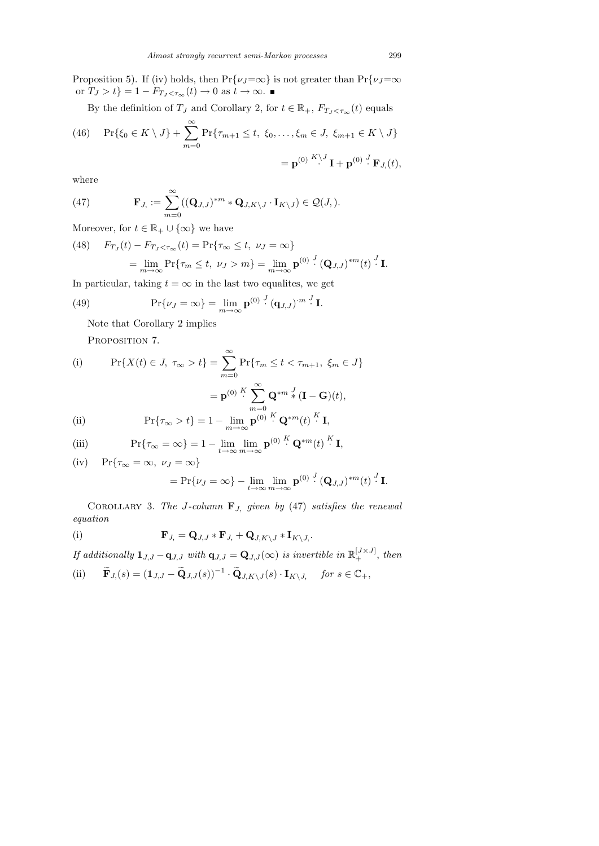Proposition 5). If (iv) holds, then  $Pr{\nu_J=\infty}$  is not greater than  $Pr{\nu_J=\infty}$ or  $T_J > t$ } = 1 –  $F_{T_J < \tau_\infty}(t) \to 0$  as  $t \to \infty$ .

By the definition of  $T_J$  and Corollary 2, for  $t \in \mathbb{R}_+$ ,  $F_{T_J < \tau_\infty}(t)$  equals

(46) 
$$
\Pr\{\xi_0 \in K \setminus J\} + \sum_{m=0}^{\infty} \Pr\{\tau_{m+1} \le t, \xi_0, \dots, \xi_m \in J, \xi_{m+1} \in K \setminus J\}
$$

$$
= \mathbf{p}^{(0)} \stackrel{K \setminus J}{\cdot} \mathbf{I} + \mathbf{p}^{(0)} \stackrel{J}{\cdot} \mathbf{F}_{J}(t),
$$

where

(47) 
$$
\mathbf{F}_{J,} := \sum_{m=0}^{\infty} ((\mathbf{Q}_{J,J})^{*m} * \mathbf{Q}_{J,K\setminus J} \cdot \mathbf{I}_{K\setminus J}) \in \mathcal{Q}(J,).
$$

Moreover, for  $t\in\mathbb{R}_+\cup\{\infty\}$  we have

(48) 
$$
F_{T_J}(t) - F_{T_J < \tau_\infty}(t) = \Pr{\tau_\infty \le t, \ \nu_J = \infty}
$$

$$
= \lim_{m \to \infty} \Pr{\tau_m \le t, \ \nu_J > m} = \lim_{m \to \infty} \mathbf{p}^{(0)} \cdot (\mathbf{Q}_{J,J})^{*m}(t) \cdot \mathbf{I}.
$$

In particular, taking  $t = \infty$  in the last two equalities, we get

(49) 
$$
\Pr\{\nu_J = \infty\} = \lim_{m \to \infty} \mathbf{p}^{(0)} \cdot (\mathbf{q}_{J,J})^{m} \cdot \mathbf{I}.
$$

Note that Corollary 2 implies

PROPOSITION 7.

(i) 
$$
\Pr\{X(t) \in J, \ \tau_{\infty} > t\} = \sum_{m=0}^{\infty} \Pr\{\tau_m \le t < \tau_{m+1}, \ \xi_m \in J\}
$$

$$
= \mathbf{p}^{(0)} \stackrel{K}{\cdot} \sum_{m=0}^{\infty} \mathbf{Q}^{*m} \stackrel{J}{*} (\mathbf{I} - \mathbf{G})(t),
$$
(ii) 
$$
\Pr\{\tau_{\infty} > t\} = 1 - \lim_{m \to \infty} \mathbf{p}^{(0)} \stackrel{K}{\cdot} \mathbf{Q}^{*m}(t) \stackrel{K}{\cdot} \mathbf{I},
$$

(iii) 
$$
\Pr{\tau_{\infty} = \infty} = 1 - \lim_{t \to \infty} \lim_{m \to \infty} \mathbf{p}^{(0)} \cdot \mathbf{Q}^{*m}(t) \cdot \mathbf{I},
$$

(iv) 
$$
Pr{\tau_{\infty} = \infty, \nu_J = \infty}
$$
  
=  $Pr{\nu_J = \infty} - \lim_{t \to \infty} \lim_{m \to \infty} p^{(0)} \cdot (Q_{J,J})^{*m}(t) \cdot J$  I.

COROLLARY 3. The J-column  $\mathbf{F}_J$ , given by (47) satisfies the renewal equation

(i) 
$$
\mathbf{F}_{J} = \mathbf{Q}_{J,J} * \mathbf{F}_{J} + \mathbf{Q}_{J,K \setminus J} * \mathbf{I}_{K \setminus J}.
$$

If additionally  $\mathbf{1}_{J,J} - \mathbf{q}_{J,J}$  with  $\mathbf{q}_{J,J} = \mathbf{Q}_{J,J}(\infty)$  is invertible in  $\mathbb{R}^{[J \times J]}_+$ , then

(ii) 
$$
\widetilde{\mathbf{F}}_{J_s}(s) = (\mathbf{1}_{J,J} - \widetilde{\mathbf{Q}}_{J,J}(s))^{-1} \cdot \widetilde{\mathbf{Q}}_{J,K\setminus J}(s) \cdot \mathbf{I}_{K\setminus J_s}
$$
 for  $s \in \mathbb{C}_+$ ,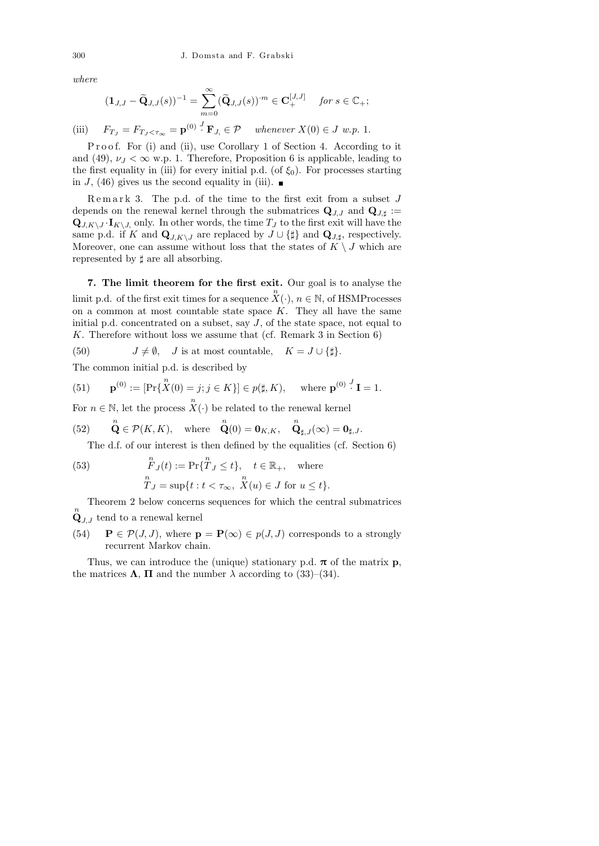where

$$
(\mathbf{1}_{J,J}-\widetilde{\mathbf{Q}}_{J,J}(s))^{-1}=\sum_{m=0}^{\infty}(\widetilde{\mathbf{Q}}_{J,J}(s))^{m}\in\mathbf{C}_{+}^{[J,J]}\quad\text{ for }s\in\mathbb{C}_{+};
$$

(iii)  $F_{T_J} = F_{T_J < \tau_\infty} = \mathbf{p}^{(0)} \cdot^J \mathbf{F}_{J} \in \mathcal{P}$  whenever  $X(0) \in J$  w.p. 1.

P r o o f. For (i) and (ii), use Corollary 1 of Section 4. According to it and (49),  $\nu_J < \infty$  w.p. 1. Therefore, Proposition 6 is applicable, leading to the first equality in (iii) for every initial p.d. (of  $\xi_0$ ). For processes starting in J, (46) gives us the second equality in (iii).  $\blacksquare$ 

 $R$ e m a r k 3. The p.d. of the time to the first exit from a subset  $J$ depends on the renewal kernel through the submatrices  $\mathbf{Q}_{J,J}$  and  $\mathbf{Q}_{J,\dagger}$  :=  $\mathbf{Q}_{J,K\setminus J} \cdot \mathbf{I}_{K\setminus J}$ , only. In other words, the time  $T_J$  to the first exit will have the same p.d. if K and  $\mathbf{Q}_{J,K\setminus J}$  are replaced by  $J \cup \{\sharp\}$  and  $\mathbf{Q}_{J,\sharp}$ , respectively. Moreover, one can assume without loss that the states of  $K \setminus J$  which are represented by  $\sharp$  are all absorbing.

7. The limit theorem for the first exit. Our goal is to analyse the limit p.d. of the first exit times for a sequence  $\overline{X}(\cdot)$ ,  $n \in \mathbb{N}$ , of HSMProcesses on a common at most countable state space  $K$ . They all have the same initial p.d. concentrated on a subset, say J, of the state space, not equal to K. Therefore without loss we assume that (cf. Remark 3 in Section 6)

(50)  $J \neq \emptyset$ , J is at most countable,  $K = J \cup \{\sharp\}.$ 

The common initial p.d. is described by

(51) 
$$
\mathbf{p}^{(0)} := [\Pr\{\overset{n}{X}(0) = j; j \in K\}] \in p(\sharp, K), \text{ where } \mathbf{p}^{(0)} : \mathbf{I} = 1.
$$

For  $n \in \mathbb{N}$ , let the process  $X(\cdot)$  be related to the renewal kernel

(52) 
$$
\mathbf{Q} \in \mathcal{P}(K, K), \text{ where } \mathbf{Q}(0) = \mathbf{0}_{K, K}, \mathbf{Q}_{\sharp, J}(\infty) = \mathbf{0}_{\sharp, J}.
$$

The d.f. of our interest is then defined by the equalities (cf. Section 6)

(53) 
$$
\begin{aligned}\n\overset{n}{F}_J(t) &:= \Pr\{\overset{n}{T}_J \le t\}, \quad t \in \mathbb{R}_+, \quad \text{where} \\
\overset{n}{T}_J &= \sup\{t : t < \tau_\infty, \ X(u) \in J \text{ for } u \le t\}.\n\end{aligned}
$$

Theorem 2 below concerns sequences for which the central submatrices  $\overset{n}{\mathbf{Q}}_{J,J}$  tend to a renewal kernel

(54)  $\mathbf{P} \in \mathcal{P}(J, J)$ , where  $\mathbf{p} = \mathbf{P}(\infty) \in p(J, J)$  corresponds to a strongly recurrent Markov chain.

Thus, we can introduce the (unique) stationary p.d.  $\pi$  of the matrix **p**, the matrices  $\Lambda$ ,  $\Pi$  and the number  $\lambda$  according to (33)–(34).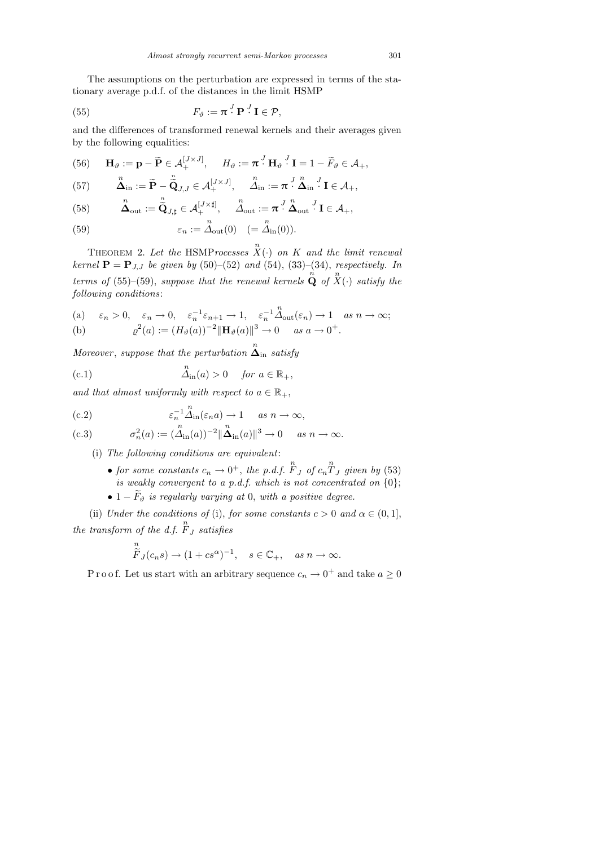The assumptions on the perturbation are expressed in terms of the stationary average p.d.f. of the distances in the limit HSMP

(55) 
$$
F_{\vartheta} := \boldsymbol{\pi}^J \mathbf{P}^J \mathbf{I} \in \mathcal{P},
$$

and the differences of transformed renewal kernels and their averages given by the following equalities:

(56) 
$$
\mathbf{H}_{\vartheta} := \mathbf{p} - \widetilde{\mathbf{P}} \in \mathcal{A}_{+}^{[J \times J]}, \quad H_{\vartheta} := \boldsymbol{\pi}^{J} \mathbf{H}_{\vartheta}^{J} \mathbf{I} = 1 - \widetilde{F}_{\vartheta} \in \mathcal{A}_{+},
$$

(57) 
$$
\mathbf{\hat{\Delta}}_{\text{in}} := \widetilde{\mathbf{P}} - \widetilde{\widetilde{\mathbf{Q}}}_{J,J} \in \mathcal{A}_{+}^{[J \times J]}, \quad \mathbf{\hat{\Delta}}_{\text{in}} := \boldsymbol{\pi}^J \cdot \mathbf{\hat{\Delta}}_{\text{in}}^{J} \mathbf{I} \in \mathcal{A}_{+},
$$

(58) 
$$
\mathbf{\Delta}_{\text{out}} := \mathbf{\tilde{Q}}_{J, \sharp} \in \mathcal{A}_{+}^{[J \times \sharp]}, \quad \mathbf{\Delta}_{\text{out}} := \pi^{\overline{J}} \mathbf{\tilde{\Delta}}_{\text{out}}^{\overline{J}} \mathbf{I} \in \mathcal{A}_{+},
$$

(59) 
$$
\varepsilon_n := \Delta_{\text{out}}(0) \quad (= \Delta_{\text{in}}(0)).
$$

THEOREM 2. Let the HSMP rocesses  $\overset{n}{X}(\cdot)$  on K and the limit renewal kernel  $P = P_{J,J}$  be given by (50)–(52) and (54), (33)–(34), respectively. In terms of (55)–(59), suppose that the renewal kernels  $\stackrel{n}{\bf Q}$  of  $\stackrel{n}{X}(\cdot)$  satisfy the following conditions:

(a) 
$$
\varepsilon_n > 0
$$
,  $\varepsilon_n \to 0$ ,  $\varepsilon_n^{-1} \varepsilon_{n+1} \to 1$ ,  $\varepsilon_n^{-1} \Delta_{\text{out}}(\varepsilon_n) \to 1$  as  $n \to \infty$ ;  
\n(b)  $\varrho^2(a) := (H_\vartheta(a))^{-2} ||\mathbf{H}_\vartheta(a)||^3 \to 0$  as  $a \to 0^+$ .

 $Moreover, suppose that the perturbation  $\overset{n}{\Delta}_{\text{in}}$  satisfy$ 

(c.1) 
$$
\Delta_{\text{in}}(a) > 0 \quad \text{for } a \in \mathbb{R}_+,
$$

and that almost uniformly with respect to  $a \in \mathbb{R}_+$ ,

(c.2) 
$$
\varepsilon_n^{-1} \Delta_{\text{in}}^n(\varepsilon_n a) \to 1 \quad \text{as } n \to \infty,
$$

(c.3) 
$$
\sigma_n^2(a) := (\tilde{\Delta}_{\text{in}}(a))^{-2} ||\tilde{\Delta}_{\text{in}}(a)||^3 \to 0 \quad \text{as } n \to \infty.
$$

(i) The following conditions are equivalent:

n

- for some constants  $c_n \to 0^+$ , the p.d.f.  $\overline{F}_J$  of  $c_n \overline{T}_J$  given by (53) is weakly convergent to a p.d.f. which is not concentrated on  $\{0\};$
- $1 \widetilde{F}_{\vartheta}$  is regularly varying at 0, with a positive degree.

(ii) Under the conditions of (i), for some constants  $c > 0$  and  $\alpha \in (0, 1]$ , the transform of the d.f.  $\overline{F}_J$  satisfies

$$
\widetilde{F}_J(c_n s) \to (1 + c s^{\alpha})^{-1}, \quad s \in \mathbb{C}_+, \quad as \ n \to \infty.
$$

P r o o f. Let us start with an arbitrary sequence  $c_n \to 0^+$  and take  $a \ge 0$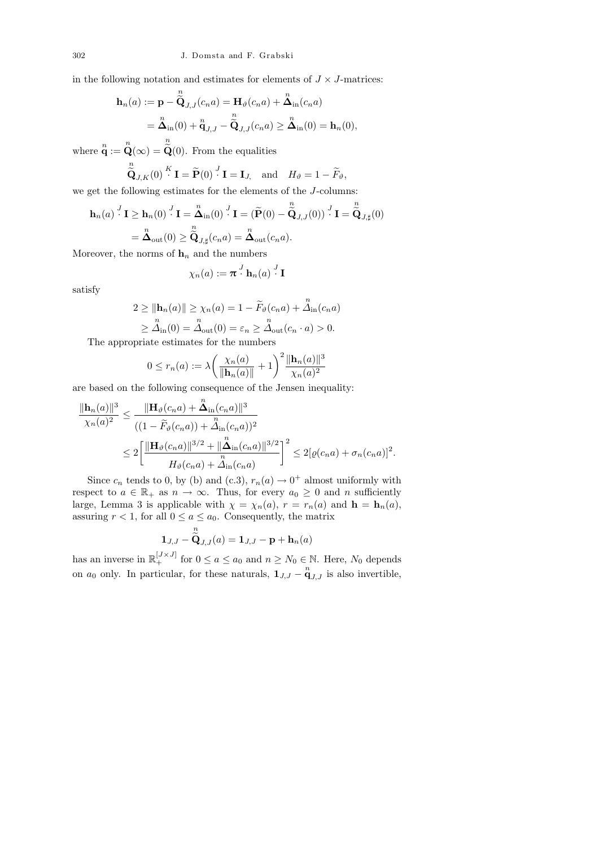in the following notation and estimates for elements of  $J \times J$ -matrices:

$$
\mathbf{h}_n(a) := \mathbf{p} - \overset{n}{\widetilde{\mathbf{Q}}}_{J,J}(c_n a) = \mathbf{H}_{\vartheta}(c_n a) + \overset{n}{\Delta}_{\text{in}}(c_n a)
$$

$$
= \overset{n}{\Delta}_{\text{in}}(0) + \overset{n}{\mathbf{q}}_{J,J} - \overset{n}{\widetilde{\mathbf{Q}}}_{J,J}(c_n a) \geq \overset{n}{\Delta}_{\text{in}}(0) = \mathbf{h}_n(0),
$$

where  $\mathbf{q}$  :=  $\mathbf{Q}(\infty)$  =  $\mathbf{Q}(0)$ . From the equalities n

$$
\widetilde{\mathbf{Q}}_{J,K}(0) \stackrel{K}{\cdot} \mathbf{I} = \widetilde{\mathbf{P}}(0) \stackrel{J}{\cdot} \mathbf{I} = \mathbf{I}_{J,} \text{ and } H_{\vartheta} = 1 - \widetilde{F}_{\vartheta},
$$

we get the following estimates for the elements of the J-columns:

$$
\mathbf{h}_n(a) \stackrel{J}{\cdot} \mathbf{I} \ge \mathbf{h}_n(0) \stackrel{J}{\cdot} \mathbf{I} = \mathbf{\overset{n}{\Delta}}_{in}(0) \stackrel{J}{\cdot} \mathbf{I} = (\widetilde{\mathbf{P}}(0) - \widetilde{\widetilde{\mathbf{Q}}}_{J,J}(0)) \stackrel{J}{\cdot} \mathbf{I} = \widetilde{\widetilde{\mathbf{Q}}}_{J,\sharp}(0)
$$

$$
= \mathbf{\overset{n}{\Delta}}_{out}(0) \ge \widetilde{\widetilde{\mathbf{Q}}}_{J,\sharp}(c_n a) = \mathbf{\overset{n}{\Delta}}_{out}(c_n a).
$$

Moreover, the norms of  $\mathbf{h}_n$  and the numbers

$$
\chi_n(a) := \boldsymbol{\pi} \cdot^J \mathbf{h}_n(a) \cdot^J \mathbf{I}
$$

satisfy

$$
2 \ge ||\mathbf{h}_n(a)|| \ge \chi_n(a) = 1 - \widetilde{F}_{\vartheta}(c_n a) + \mathring{\Delta}_{\text{in}}(c_n a)
$$
  
 
$$
\ge \mathring{\Delta}_{\text{in}}(0) = \mathring{\Delta}_{\text{out}}(0) = \varepsilon_n \ge \mathring{\Delta}_{\text{out}}(c_n \cdot a) > 0.
$$

The appropriate estimates for the numbers

$$
0 \le r_n(a) := \lambda \left( \frac{\chi_n(a)}{\|\mathbf{h}_n(a)\|} + 1 \right)^2 \frac{\|\mathbf{h}_n(a)\|^3}{\chi_n(a)^2}
$$

are based on the following consequence of the Jensen inequality:

$$
\frac{\|\mathbf{h}_{n}(a)\|^{3}}{\chi_{n}(a)^{2}} \leq \frac{\|\mathbf{H}_{\vartheta}(c_{n}a) + \mathring{\Delta}_{\text{in}}(c_{n}a)\|^{3}}{\left((1 - \widetilde{F}_{\vartheta}(c_{n}a)) + \mathring{\Delta}_{\text{in}}(c_{n}a)\right)^{2}} \leq 2\bigg[\frac{\|\mathbf{H}_{\vartheta}(c_{n}a)\|^{3/2} + \|\mathring{\Delta}_{\text{in}}(c_{n}a)\|^{3/2}}{H_{\vartheta}(c_{n}a) + \mathring{\Delta}_{\text{in}}(c_{n}a)}\bigg]^{2} \leq 2[\varrho(c_{n}a) + \sigma_{n}(c_{n}a)]^{2}.
$$

Since  $c_n$  tends to 0, by (b) and (c.3),  $r_n(a) \to 0^+$  almost uniformly with respect to  $a \in \mathbb{R}_+$  as  $n \to \infty$ . Thus, for every  $a_0 \geq 0$  and n sufficiently large, Lemma 3 is applicable with  $\chi = \chi_n(a)$ ,  $r = r_n(a)$  and  $\mathbf{h} = \mathbf{h}_n(a)$ , assuring  $r < 1$ , for all  $0 \le a \le a_0$ . Consequently, the matrix

$$
\mathbf{1}_{J,J}-\overset{\sim}{\mathbf{Q}}_{J,J}(a)=\mathbf{1}_{J,J}-\mathbf{p}+\mathbf{h}_n(a)
$$

n

has an inverse in  $\mathbb{R}_+^{[J \times J]}$  for  $0 \le a \le a_0$  and  $n \ge N_0 \in \mathbb{N}$ . Here,  $N_0$  depends on  $a_0$  only. In particular, for these naturals,  $\mathbf{1}_{J,J} - \mathbf{q}_{J,J}$  is also invertible,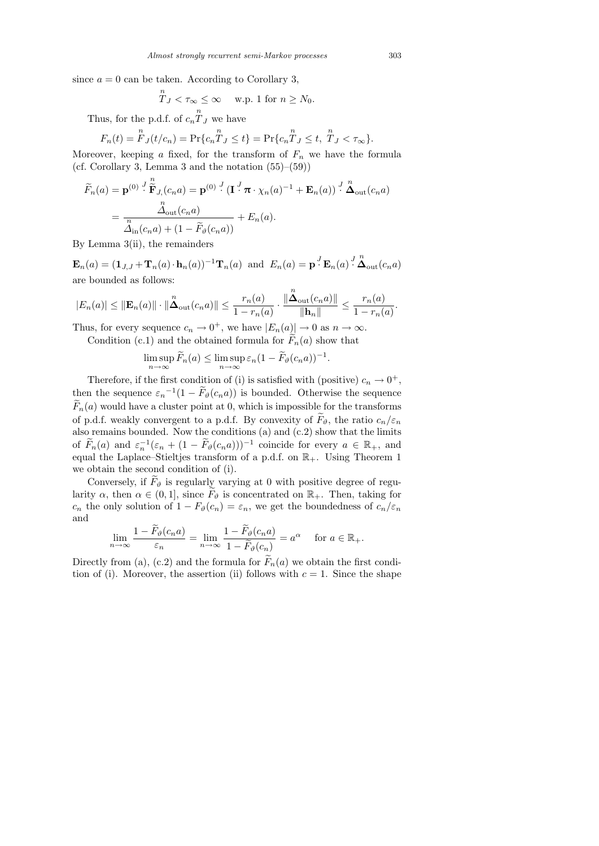since  $a = 0$  can be taken. According to Corollary 3,

$$
T_J < \tau_{\infty} \leq \infty \quad \text{ w.p. 1 for } n \geq N_0.
$$

Thus, for the p.d.f. of  $c_n \overset{n}{T}_J$  we have

$$
F_n(t) = \mathop{\rm Fr{}}\nolimits_{J}(t/c_n) = \Pr\{c_n \mathop{T}\nolimits_J \le t\} = \Pr\{c_n \mathop{T}\nolimits_J \le t, \mathop{T}\nolimits_J < \tau_{\infty}\}.
$$

Moreover, keeping a fixed, for the transform of  $F_n$  we have the formula (cf. Corollary 3, Lemma 3 and the notation  $(55)–(59)$ )

$$
\widetilde{F}_n(a) = \mathbf{p}^{(0)} \cdot \prod_{n=1}^{\infty} \widetilde{\mathbf{F}}_{J,(c_n a)} = \mathbf{p}^{(0)} \cdot (\mathbf{I} \cdot \pi \cdot \chi_n(a)^{-1} + \mathbf{E}_n(a)) \cdot \prod_{n=1}^{\infty} \chi_n(c_n a)
$$
\n
$$
= \frac{\chi_{\text{out}}(c_n a)}{\chi_{\text{in}}(c_n a) + (1 - \widetilde{F}_{\vartheta}(c_n a))} + E_n(a).
$$

By Lemma 3(ii), the remainders

 $\mathbf{E}_n(a) = (\mathbf{1}_{J,J} + \mathbf{T}_n(a) \cdot \mathbf{h}_n(a))^{-1} \mathbf{T}_n(a)$  and  $E_n(a) = \mathbf{p} \cdot^J \mathbf{E}_n(a) \cdot^J \mathbf{A}_{\text{out}}(c_n a)$ are bounded as follows:

$$
|E_n(a)| \leq ||\mathbf{E}_n(a)|| \cdot ||\mathbf{\Delta}_{\text{out}}(c_n a)|| \leq \frac{r_n(a)}{1 - r_n(a)} \cdot \frac{||\mathbf{\Delta}_{\text{out}}(c_n a)||}{||\mathbf{h}_n||} \leq \frac{r_n(a)}{1 - r_n(a)}.
$$

Thus, for every sequence  $c_n \to 0^+$ , we have  $|E_n(a)| \to 0$  as  $n \to \infty$ .

Condition (c.1) and the obtained formula for  $F_n(a)$  show that

$$
\limsup_{n \to \infty} \widetilde{F}_n(a) \le \limsup_{n \to \infty} \varepsilon_n (1 - \widetilde{F}_{\vartheta}(c_n a))^{-1}
$$

.

Therefore, if the first condition of (i) is satisfied with (positive)  $c_n \to 0^+,$ then the sequence  $\varepsilon_n^{-1}(1-\widetilde{F}_{\vartheta}(c_n a))$  is bounded. Otherwise the sequence  $F_n(a)$  would have a cluster point at 0, which is impossible for the transforms of p.d.f. weakly convergent to a p.d.f. By convexity of  $\widetilde{F}_{\vartheta}$ , the ratio  $c_n/\varepsilon_n$ also remains bounded. Now the conditions (a) and (c.2) show that the limits of  $\widetilde{F}_n(a)$  and  $\varepsilon_n^{-1}(\varepsilon_n + (1 - \widetilde{F}_{\vartheta}(c_n a)))^{-1}$  coincide for every  $a \in \mathbb{R}_+$ , and equal the Laplace–Stieltjes transform of a p.d.f. on  $\mathbb{R}_+$ . Using Theorem 1 we obtain the second condition of (i).

Conversely, if  $\widetilde{F}_{\vartheta}$  is regularly varying at 0 with positive degree of regularity  $\alpha$ , then  $\alpha \in (0,1]$ , since  $\widetilde{F}_{\vartheta}$  is concentrated on  $\mathbb{R}_+$ . Then, taking for  $c_n$  the only solution of  $1 - F_{\vartheta}(c_n) = \varepsilon_n$ , we get the boundedness of  $c_n/\varepsilon_n$ and

$$
\lim_{n \to \infty} \frac{1 - F_{\vartheta}(c_n a)}{\varepsilon_n} = \lim_{n \to \infty} \frac{1 - F_{\vartheta}(c_n a)}{1 - \widetilde{F}_{\vartheta}(c_n)} = a^{\alpha} \quad \text{for } a \in \mathbb{R}_+.
$$

Directly from (a), (c.2) and the formula for  $\widetilde{F}_n(a)$  we obtain the first condition of (i). Moreover, the assertion (ii) follows with  $c = 1$ . Since the shape